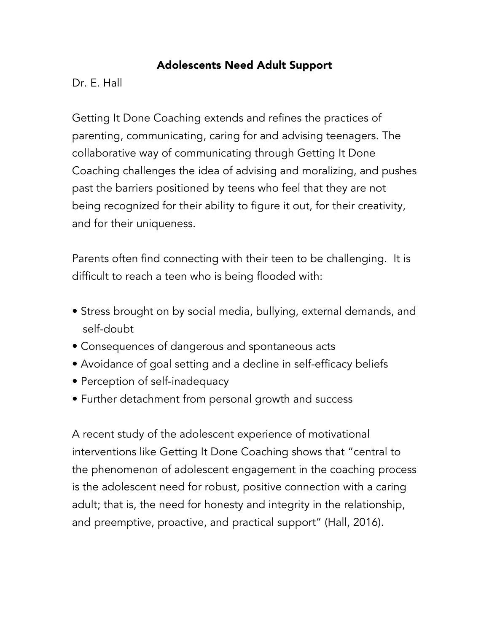## Adolescents Need Adult Support

Dr. E. Hall

Getting It Done Coaching extends and refines the practices of parenting, communicating, caring for and advising teenagers. The collaborative way of communicating through Getting It Done Coaching challenges the idea of advising and moralizing, and pushes past the barriers positioned by teens who feel that they are not being recognized for their ability to figure it out, for their creativity, and for their uniqueness.

Parents often find connecting with their teen to be challenging. It is difficult to reach a teen who is being flooded with:

- Stress brought on by social media, bullying, external demands, and self-doubt
- Consequences of dangerous and spontaneous acts
- Avoidance of goal setting and a decline in self-efficacy beliefs
- Perception of self-inadequacy
- Further detachment from personal growth and success

A recent study of the adolescent experience of motivational interventions like Getting It Done Coaching shows that "central to the phenomenon of adolescent engagement in the coaching process is the adolescent need for robust, positive connection with a caring adult; that is, the need for honesty and integrity in the relationship, and preemptive, proactive, and practical support" (Hall, 2016).